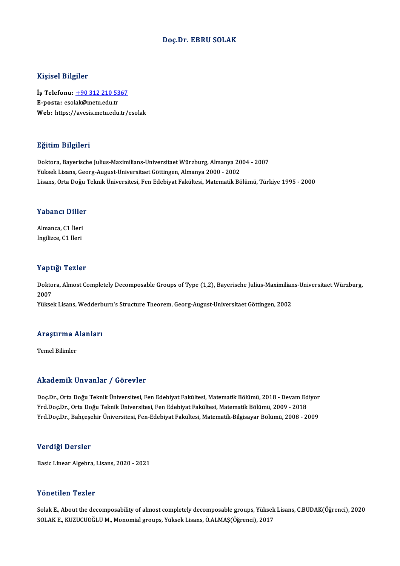#### Doç.Dr. EBRU SOLAK

#### Kişisel Bilgiler

Kişisel Bilgiler<br>İş Telefonu: <u>+90 312 210 5367</u><br>E nosta: esekk@mstuedu.tr 11131011 Drights<br>İş Telefonu: <u>+90 312 210 53</u><br>E-posta: eso[lak@metu.edu.tr](tel:+90 312 210 5367) E-posta: esolak@metu.edu.tr<br>Web: https://avesis.metu.edu.tr/esolak

#### Eğitim Bilgileri

Doktora,Bayerische Julius-Maximilians-UniversitaetWürzburg,Almanya 2004 -2007 Yüksek Lisans, Georg-August-Universitaet Göttingen, Almanya 2000 - 2002 Lisans, Orta Doğu Teknik Üniversitesi, Fen Edebiyat Fakültesi, Matematik Bölümü, Türkiye 1995 - 2000

# Lisans, orta Dogu<br>Yabancı Diller

**Yabancı Dille**r<br>Almanca, C1 İleri<br>İngilizce, C1 İleri Almanca, C1 İleri<br>İngilizce, C1 İleri

#### Yaptığı Tezler

Yaptığı Tezler<br>Doktora, Almost Completely Decomposable Groups of Type (1,2), Bayerische Julius-Maximilians-Universitaet Würzburg,<br>2007 2 ape<br>Dokto<br>2007<br><sup>Vülsse</sup> 2007<br>Yüksek Lisans, Wedderburn's Structure Theorem, Georg-August-Universitaet Göttingen, 2002

### ruksek Lisans, wedderb<br>Araştırma Alanları <mark>Araştırma A</mark><br>Temel Bilimler

## Akademik Unvanlar / Görevler

Akademik Unvanlar / Görevler<br>Doç.Dr., Orta Doğu Teknik Üniversitesi, Fen Edebiyat Fakültesi, Matematik Bölümü, 2018 - Devam Ediyor<br>Yrd Doc.Dr., Orta Doğu Teknik Üniversitesi, Fen Edebiyat Fakültesi, Matematik Bölümü, 2009 Yrkuu olirik "Olivulitat" / "UST 07101"<br>Doç.Dr., Orta Doğu Teknik Üniversitesi, Fen Edebiyat Fakültesi, Matematik Bölümü, 2018 - Devam Ed<br>Yrd Doc.Dr., Orta Doğu Teknik Üniversitesi, Fen Edebiyat Fakültesi, Matematik Bölümü Doç.Dr., Orta Doğu Teknik Üniversitesi, Fen Edebiyat Fakültesi, Matematik Bölümü, 2018 - Devam Ediyor<br>Yrd.Doç.Dr., Orta Doğu Teknik Üniversitesi, Fen Edebiyat Fakültesi, Matematik Bölümü, 2009 - 2018<br>Yrd.Doç.Dr., Bahçeşehi Yrd.Doç.Dr., Bahçeşehir Üniversitesi, Fen-Edebiyat Fakültesi, Matematik-Bilgisayar Bölümü, 2008 - 2009<br>Verdiği Dersler

Basic Linear Algebra, Lisans, 2020 - 2021

#### Yönetilen Tezler

SolakE.,About the decomposability of almost completelydecomposable groups,YüksekLisans,C.BUDAK(Öğrenci),2020 SOLAKE.,KUZUCUOĞLUM.,Monomialgroups,YüksekLisans,Ö.ALMAŞ(Öğrenci),2017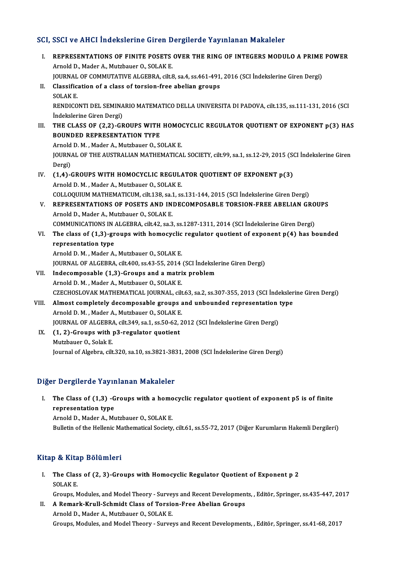### SCI, SSCI ve AHCI İndekslerine Giren Dergilerde Yayınlanan Makaleler

CI, SSCI ve AHCI İndekslerine Giren Dergilerde Yayınlanan Makaleler<br>I. REPRESENTATIONS OF FINITE POSETS OVER THE RING OF INTEGERS MODULO A PRIME POWER BETTLE THE MACHINE THE CITER BETTLE REPRESENTATIONS OF FINITE POSETS<br>Arnold D., Mader A., Mutzbauer O., SOLAK E.<br>JOUPNAL OF COMMUTATIVE ALCEPPA cite REPRESENTATIONS OF FINITE POSETS OVER THE RING OF INTEGERS MODULO A PRIME<br>Arnold D., Mader A., Mutzbauer O., SOLAK E.<br>JOURNAL OF COMMUTATIVE ALGEBRA, cilt.8, sa.4, ss.461-491, 2016 (SCI İndekslerine Giren Dergi)<br>Classifica Arnold D., Mader A., Mutzbauer O., SOLAK E.<br>JOURNAL OF COMMUTATIVE ALGEBRA, cilt.8, sa.4, ss.461-491<br>II. Classification of a class of torsion-free abelian groups<br>SOLAKE JOURNAL<br>Classific:<br>SOLAK E.<br>PENDICO II. Classification of a class of torsion-free abelian groups<br>SOLAK E.<br>RENDICONTI DEL SEMINARIO MATEMATICO DELLA UNIVERSITA DI PADOVA, cilt.135, ss.111-131, 2016 (SCI İndekslerine Giren Dergi) RENDICONTI DEL SEMINARIO MATEMATICO DELLA UNIVERSITA DI PADOVA, cilt.135, ss.111-131, 2016 (SCI<br>Indekslerine Giren Dergi)<br>III. THE CLASS OF (2,2)-GROUPS WITH HOMOCYCLIC REGULATOR QUOTIENT OF EXPONENT p(3) HAS<br>POUNDED REPRE Indekslerine Giren Dergi)<br>THE CLASS OF (2,2)-GROUPS WITH<br>BOUNDED REPRESENTATION TYPE<br>Arnold D.M., Moder A., Mutrhauer O., S6 THE CLASS OF (2,2)-GROUPS WITH HOMO<br>BOUNDED REPRESENTATION TYPE<br>Arnold D.M., Mader A., Mutzbauer O., SOLAK E.<br>JOUPNAL OF THE AUSTRALIAN MATHEMATICA BOUNDED REPRESENTATION TYPE<br>Arnold D. M. , Mader A., Mutzbauer O., SOLAK E.<br>JOURNAL OF THE AUSTRALIAN MATHEMATICAL SOCIETY, cilt.99, sa.1, ss.12-29, 2015 (SCI İndekslerine Giren<br>Persi) Arnold<br>JOURN<br>Dergi)<br>(1.4) JOURNAL OF THE AUSTRALIAN MATHEMATICAL SOCIETY, cilt.99, sa.1, ss.12-29, 2015 (SO<br>Dergi)<br>IV. (1,4)-GROUPS WITH HOMOCYCLIC REGULATOR QUOTIENT OF EXPONENT p(3)<br>Arnold D.M., Madar A. Mutrhauer O. SOLAKE Dergi)<br>(1,**4)-GROUPS WITH HOMOCYCLIC REGUL***!***<br>Arnold D. M. , Mader A., Mutzbauer O., SOLAK E.**<br>COLLOQUUIM MATHEMATICUM si<sup>1</sup>t 139 ss 1 ss (1,4)-GROUPS WITH HOMOCYCLIC REGULATOR QUOTIENT OF EXPONENT p(3)<br>Arnold D. M. , Mader A., Mutzbauer O., SOLAK E.<br>COLLOQUIUM MATHEMATICUM, cilt.138, sa.1, ss.131-144, 2015 (SCI İndekslerine Giren Dergi)<br>RERRESENTATIONS OF P Arnold D. M. , Mader A., Mutzbauer O., SOLAK E.<br>COLLOQUIUM MATHEMATICUM, cilt.138, sa.1, ss.131-144, 2015 (SCI İndekslerine Giren Dergi)<br>V. REPRESENTATIONS OF POSETS AND INDECOMPOSABLE TORSION-FREE ABELIAN GROUPS<br>Arnold D. COLLOQUIUM MATHEMATICUM, cilt.138, sa.1<br>REPRESENTATIONS OF POSETS AND IN<br>Arnold D., Mader A., Mutzbauer O., SOLAK E.<br>COMMUNICATIONS IN ALCEPRA, cilt.42, sa.2 REPRESENTATIONS OF POSETS AND INDECOMPOSABLE TORSION-FREE ABELIAN GRO<br>Arnold D., Mader A., Mutzbauer O., SOLAK E.<br>COMMUNICATIONS IN ALGEBRA, cilt.42, sa.3, ss.1287-1311, 2014 (SCI İndekslerine Giren Dergi)<br>The class of (1. Arnold D., Mader A., Mutzbauer O., SOLAK E.<br>COMMUNICATIONS IN ALGEBRA, cilt.42, sa.3, ss.1287-1311, 2014 (SCI Indekslerine Giren Dergi)<br>VI. The class of (1,3)-groups with homocyclic regulator quotient of exponent p(4) has COMMUNICATIONS IN ALGEBRA, cilt.42, sa.3, ss.1287-1311, 2014 (SCI Indekslerine Giren Dergi) Arnold D.M., Mader A., Mutzbauer O., SOLAK E. representation type<br>Arnold D. M. , Mader A., Mutzbauer O., SOLAK E.<br>JOURNAL OF ALGEBRA, cilt.400, ss.43-55, 2014 (SCI İndekslerine Giren Dergi)<br>Indesempeseble (1.3), Croups and a matriy preblem Arnold D. M., Mader A., Mutzbauer O., SOLAK E.<br>JOURNAL OF ALGEBRA, cilt.400, ss.43-55, 2014 (SCI Indeksle<br>VII. Indecomposable (1,3)-Groups and a matrix problem<br>Arnold D. M. Moder A. Mutrbouer O. SOLAK E. VII. Indecomposable (1,3)-Groups and a matrix problem<br>Arnold D.M., Mader A., Mutzbauer O., SOLAK E. CZECHOSLOVAKMATHEMATICAL JOURNAL, cilt.63, sa.2, ss.307-355,2013 (SCI İndekslerineGirenDergi) Arnold D. M. , Mader A., Mutzbauer O., SOLAK E.<br>CZECHOSLOVAK MATHEMATICAL JOURNAL, cilt.63, sa.2, ss.307-355, 2013 (SCI Indeksler<br>VIII. Almost completely decomposable groups and unbounded representation type<br>Arnold D. M. M Arnold D. M., Mader A., Mutzbauer O., SOLAK E.<br>JOURNAL OF ALGEBRA, cilt.349, sa.1, ss.50-62, 2012 (SCI İndekslerine Giren Dergi) Almost completely decomposable groups and unbounded representation<br>Arnold D. M. , Mader A., Mutzbauer O., SOLAK E.<br>JOURNAL OF ALGEBRA, cilt.349, sa.1, ss.50-62, 2012 (SCI İndekslerine Giren Dergi)<br>(1.2) Croups with n3 regu Arnold D. M., Mader A., Mutzbauer O., SOLAK E<br>JOURNAL OF ALGEBRA, cilt.349, sa.1, ss.50-62, <br>IX. (1, 2)-Groups with p3-regulator quotient<br>Mutrhauer O. Solak E **JOURNAL OF ALGEBRA**<br>**(1, 2)-Groups with |**<br>Mutzbauer O., Solak E.<br>Journal of Algebra, cilt Mutzbauer O., Solak E.<br>Journal of Algebra, cilt.320, sa.10, ss.3821-3831, 2008 (SCI İndekslerine Giren Dergi)

#### Diğer Dergilerde Yayınlanan Makaleler

Iger Dergilerde Yayınlanan Makaleler<br>I. The Class of (1,3) -Groups with a homocyclic regulator quotient of exponent p5 is of finite<br>Representation type The Class of  $(1,3)$  -G<br>representation type<br> $A \mod P$ . Moder  $A \mod P$ The Class of (1,3) -Groups with a homo<br>representation type<br>Arnold D., Mader A., Mutzbauer O., SOLAK E.<br>Pulletin of the Hellenis Methematical Society representation type<br>Arnold D., Mader A., Mutzbauer O., SOLAK E.<br>Bulletin of the Hellenic Mathematical Society, cilt.61, ss.55-72, 2017 (Diğer Kurumların Hakemli Dergileri)

### Kitap & Kitap Bölümleri

Itap & Kitap Bölümleri<br>I. The Class of (2, 3)-Groups with Homocyclic Regulator Quotient of Exponent p 2<br>SOLAKE The Clas<br>SOLAK E. SOLAK E.<br>Groups, Modules, and Model Theory - Surveys and Recent Developments, , Editör, Springer, ss.435-447, 2017

SOLAK E.<br>Groups, Modules, and Model Theory - Surveys and Recent Developmen<br>II. A Remark-Krull-Schmidt Class of Torsion-Free Abelian Groups<br>Arnold D. Moder A. Mutrhauer O. SQLAK E. Groups, Modules, and Model Theory - Survey<br>A Remark-Krull-Schmidt Class of Torsic<br>Arnold D., Mader A., Mutzbauer O., SOLAK E.<br>Croups Modules and Model Theory, Survey Arnold D., Mader A., Mutzbauer O., SOLAK E.<br>Groups, Modules, and Model Theory - Surveys and Recent Developments, , Editör, Springer, ss.41-68, 2017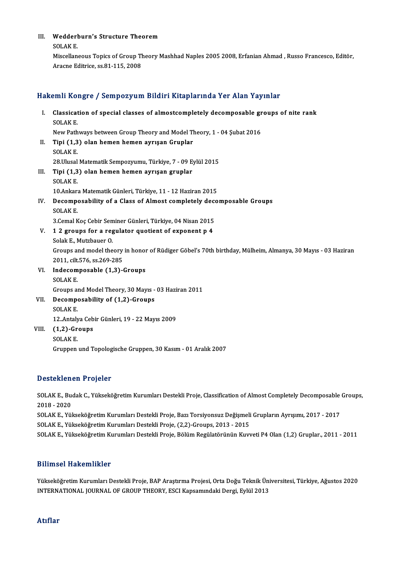### III. Wedderburn's Structure Theorem<br>SOLAKE

Wedderl<br>SOLAK E.<br>Missellen

Wedderburn's Structure Theorem<br>SOLAK E.<br>Miscellaneous Topics of Group Theory Mashhad Naples 2005 2008, Erfanian Ahmad , Russo Francesco, Editör, SOLAK E.<br>Miscellaneous Topics of Group Tl<br>Aracne Editrice, ss.81-115, 2008

# Aracne Editrice, ss.81-115, 2008<br>Hakemli Kongre / Sempozyum Bildiri Kitaplarında Yer Alan Yayınlar

| Hakemli Kongre / Sempozyum Bildiri Kitaplarında Yer Alan Yayınlar |                                                                                                            |
|-------------------------------------------------------------------|------------------------------------------------------------------------------------------------------------|
| L                                                                 | Classication of special classes of almostcompletely decomposable groups of nite rank                       |
|                                                                   | <b>SOLAK E</b>                                                                                             |
|                                                                   | New Pathways between Group Theory and Model Theory, 1 - 04 Şubat 2016                                      |
| П.                                                                | Tipi (1,3) olan hemen hemen ayrışan Gruplar                                                                |
|                                                                   | <b>SOLAK E</b>                                                                                             |
|                                                                   | 28 Ulusal Matematik Sempozyumu, Türkiye, 7 - 09 Eylül 2015                                                 |
| III.                                                              | Tipi (1,3) olan hemen hemen ayrışan gruplar                                                                |
|                                                                   | <b>SOLAKE</b>                                                                                              |
|                                                                   | 10 Ankara Matematik Günleri, Türkiye, 11 - 12 Haziran 2015                                                 |
| IV.                                                               | Decomposability of a Class of Almost completely decomposable Groups                                        |
|                                                                   | <b>SOLAKE</b>                                                                                              |
|                                                                   | 3. Cemal Koç Cebir Seminer Günleri, Türkiye, 04 Nisan 2015                                                 |
| V.                                                                | 12 groups for a regulator quotient of exponent p 4                                                         |
|                                                                   | Solak E, Mutzbauer O.                                                                                      |
|                                                                   | Groups and model theory in honor of Rüdiger Göbel's 70th birthday, Mülheim, Almanya, 30 Mayıs - 03 Haziran |
|                                                                   | 2011, cilt 576, ss 269-285                                                                                 |
| VI.                                                               | Indecomposable (1,3)-Groups                                                                                |
|                                                                   | <b>SOLAKE</b>                                                                                              |
|                                                                   | Groups and Model Theory, 30 Mayıs - 03 Haziran 2011                                                        |
| VII.                                                              | Decomposability of (1,2)-Groups                                                                            |
|                                                                   | <b>SOLAK E</b>                                                                                             |
|                                                                   | 12 Antalya Cebir Günleri, 19 - 22 Mayıs 2009                                                               |
| VIII.                                                             | $(1,2)$ -Groups                                                                                            |
|                                                                   | <b>SOLAKE</b>                                                                                              |
|                                                                   | Gruppen und Topologische Gruppen, 30 Kasım - 01 Aralık 2007                                                |

#### Desteklenen Projeler

Desteklenen Projeler<br>SOLAK E., Budak C., Yükseköğretim Kurumları Destekli Proje, Classification of Almost Completely Decomposable Groups,<br>2018–2020 2020<br>2018 - 2020<br>2018 - 2020<br>2014 - 2020 SOLAK E., Budak C., Yükseköğretim Kurumları Destekli Proje, Classification of Almost Completely Decomposable<br>2018 - 2020<br>SOLAK E., Yükseköğretim Kurumları Destekli Proje, Bazı Torsiyonsuz Değişmeli Grupların Ayrışımı, 2017 2018 - 2020<br>SOLAK E., Yükseköğretim Kurumları Destekli Proje, Bazı Torsiyonsuz Değişmeli<br>SOLAK E., Yükseköğretim Kurumları Destekli Proje, (2,2)-Groups, 2013 - 2015<br>SOLAK E., Yükseköğretim Kurumları Destekli Proje, Pölüm B SOLAK E., Yükseköğretim Kurumları Destekli Proje, (2,2)-Groups, 2013 - 2015<br>SOLAK E., Yükseköğretim Kurumları Destekli Proje, Bölüm Regülatörünün Kuvveti P4 Olan (1,2) Gruplar., 2011 - 2011

#### Bilimsel Hakemlikler

Bilimsel Hakemlikler<br>Yükseköğretim Kurumları Destekli Proje, BAP Araştırma Projesi, Orta Doğu Teknik Üniversitesi, Türkiye, Ağustos<br>INTERNATIONAL JOURNAL OF CROUR THEORY, ESCI Kansamındaki Darsi, Frijil 2012 DIIIIIISCI ITARCIIIIIIRCI<br>Yükseköğretim Kurumları Destekli Proje, BAP Araştırma Projesi, Orta Doğu Teknik Üni<br>INTERNATIONAL JOURNAL OF GROUP THEORY, ESCI Kapsamındaki Dergi, Eylül 2013 INTERNATIONAL JOURNAL OF GROUP THEORY, ESCI Kapsamındaki Dergi, Eylül 2013<br>Atıflar